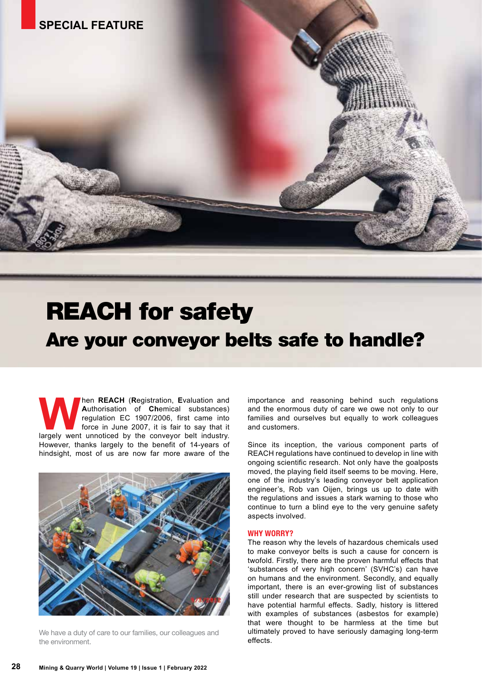# REACH for safety Are your conveyor belts safe to handle?

**WAREACH (Registration, Evaluation and Authorisation of Chemical substances) regulation EC 1907/2006, first came into force in June 2007, it is fair to say that it largely went unnoticed by the conveyor belt industry. A**uthorisation of **Ch**emical substances) regulation EC 1907/2006, first came into force in June 2007, it is fair to say that it However, thanks largely to the benefit of 14-years of hindsight, most of us are now far more aware of the



We have a duty of care to our families, our colleagues and the environment.

importance and reasoning behind such regulations and the enormous duty of care we owe not only to our families and ourselves but equally to work colleagues and customers.

Since its inception, the various component parts of REACH regulations have continued to develop in line with ongoing scientific research. Not only have the goalposts moved, the playing field itself seems to be moving. Here, one of the industry's leading conveyor belt application engineer's, Rob van Oijen, brings us up to date with the regulations and issues a stark warning to those who continue to turn a blind eye to the very genuine safety aspects involved.

#### **WHY WORRY?**

The reason why the levels of hazardous chemicals used to make conveyor belts is such a cause for concern is twofold. Firstly, there are the proven harmful effects that 'substances of very high concern' (SVHC's) can have on humans and the environment. Secondly, and equally important, there is an ever-growing list of substances still under research that are suspected by scientists to have potential harmful effects. Sadly, history is littered with examples of substances (asbestos for example) that were thought to be harmless at the time but ultimately proved to have seriously damaging long-term effects.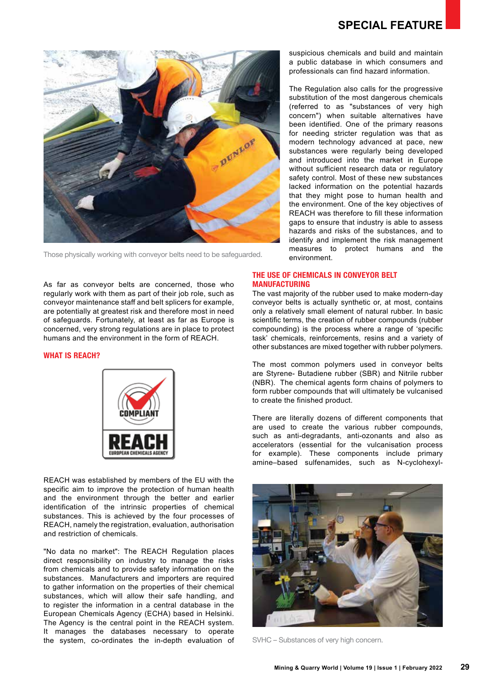

Those physically working with conveyor belts need to be safeguarded.

As far as conveyor belts are concerned, those who regularly work with them as part of their job role, such as conveyor maintenance staff and belt splicers for example, are potentially at greatest risk and therefore most in need of safeguards. Fortunately, at least as far as Europe is concerned, very strong regulations are in place to protect humans and the environment in the form of REACH.

### **WHAT IS REACH?**



REACH was established by members of the EU with the specific aim to improve the protection of human health and the environment through the better and earlier identification of the intrinsic properties of chemical substances. This is achieved by the four processes of REACH, namely the registration, evaluation, authorisation and restriction of chemicals.

"No data no market": The REACH Regulation places direct responsibility on industry to manage the risks from chemicals and to provide safety information on the substances. Manufacturers and importers are required to gather information on the properties of their chemical substances, which will allow their safe handling, and to register the information in a central database in the European Chemicals Agency (ECHA) based in Helsinki. The Agency is the central point in the REACH system. It manages the databases necessary to operate the system, co-ordinates the in-depth evaluation of suspicious chemicals and build and maintain a public database in which consumers and professionals can find hazard information.

The Regulation also calls for the progressive substitution of the most dangerous chemicals (referred to as "substances of very high concern") when suitable alternatives have been identified. One of the primary reasons for needing stricter regulation was that as modern technology advanced at pace, new substances were regularly being developed and introduced into the market in Europe without sufficient research data or regulatory safety control. Most of these new substances lacked information on the potential hazards that they might pose to human health and the environment. One of the key objectives of REACH was therefore to fill these information gaps to ensure that industry is able to assess hazards and risks of the substances, and to identify and implement the risk management measures to protect humans and the environment.

## **THE USE OF CHEMICALS IN CONVEYOR BELT MANUFACTURING**

The vast majority of the rubber used to make modern-day conveyor belts is actually synthetic or, at most, contains only a relatively small element of natural rubber. In basic scientific terms, the creation of rubber compounds (rubber compounding) is the process where a range of 'specific task' chemicals, reinforcements, resins and a variety of other substances are mixed together with rubber polymers.

The most common polymers used in conveyor belts are Styrene- Butadiene rubber (SBR) and Nitrile rubber (NBR). The chemical agents form chains of polymers to form rubber compounds that will ultimately be vulcanised to create the finished product.

There are literally dozens of different components that are used to create the various rubber compounds, such as anti-degradants, anti-ozonants and also as accelerators (essential for the vulcanisation process for example). These components include primary amine–based sulfenamides, such as N-cyclohexyl-



SVHC – Substances of very high concern.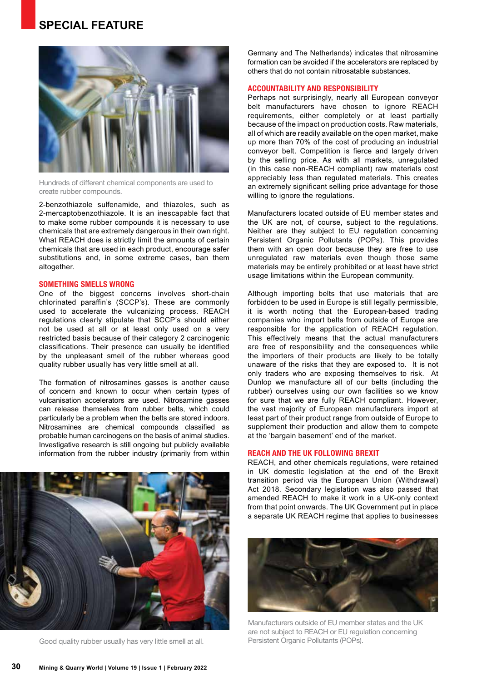# **SPECIAL FEATURE**



Hundreds of different chemical components are used to create rubber compounds.

2-benzothiazole sulfenamide, and thiazoles, such as 2-mercaptobenzothiazole. It is an inescapable fact that to make some rubber compounds it is necessary to use chemicals that are extremely dangerous in their own right. What REACH does is strictly limit the amounts of certain chemicals that are used in each product, encourage safer substitutions and, in some extreme cases, ban them altogether.

#### **SOMETHING SMELLS WRONG**

One of the biggest concerns involves short-chain chlorinated paraffin's (SCCP's). These are commonly used to accelerate the vulcanizing process. REACH regulations clearly stipulate that SCCP's should either not be used at all or at least only used on a very restricted basis because of their category 2 carcinogenic classifications. Their presence can usually be identified by the unpleasant smell of the rubber whereas good quality rubber usually has very little smell at all.

The formation of nitrosamines gasses is another cause of concern and known to occur when certain types of vulcanisation accelerators are used. Nitrosamine gasses can release themselves from rubber belts, which could particularly be a problem when the belts are stored indoors. Nitrosamines are chemical compounds classified as probable human carcinogens on the basis of animal studies. Investigative research is still ongoing but publicly available information from the rubber industry (primarily from within



Good quality rubber usually has very little smell at all.

Germany and The Netherlands) indicates that nitrosamine formation can be avoided if the accelerators are replaced by others that do not contain nitrosatable substances.

#### **ACCOUNTABILITY AND RESPONSIBILITY**

Perhaps not surprisingly, nearly all European conveyor belt manufacturers have chosen to ignore REACH requirements, either completely or at least partially because of the impact on production costs. Raw materials, all of which are readily available on the open market, make up more than 70% of the cost of producing an industrial conveyor belt. Competition is fierce and largely driven by the selling price. As with all markets, unregulated (in this case non-REACH compliant) raw materials cost appreciably less than regulated materials. This creates an extremely significant selling price advantage for those willing to ignore the regulations.

Manufacturers located outside of EU member states and the UK are not, of course, subject to the regulations. Neither are they subject to EU regulation concerning Persistent Organic Pollutants (POPs). This provides them with an open door because they are free to use unregulated raw materials even though those same materials may be entirely prohibited or at least have strict usage limitations within the European community.

Although importing belts that use materials that are forbidden to be used in Europe is still legally permissible, it is worth noting that the European-based trading companies who import belts from outside of Europe are responsible for the application of REACH regulation. This effectively means that the actual manufacturers are free of responsibility and the consequences while the importers of their products are likely to be totally unaware of the risks that they are exposed to. It is not only traders who are exposing themselves to risk. At Dunlop we manufacture all of our belts (including the rubber) ourselves using our own facilities so we know for sure that we are fully REACH compliant. However, the vast majority of European manufacturers import at least part of their product range from outside of Europe to supplement their production and allow them to compete at the 'bargain basement' end of the market.

## **REACH AND THE UK FOLLOWING BREXIT**

REACH, and other chemicals regulations, were retained in UK domestic legislation at the end of the Brexit transition period via the European Union (Withdrawal) Act 2018. Secondary legislation was also passed that amended REACH to make it work in a UK-only context from that point onwards. The UK Government put in place a separate UK REACH regime that applies to businesses



Manufacturers outside of EU member states and the UK are not subject to REACH or EU regulation concerning Persistent Organic Pollutants (POPs).